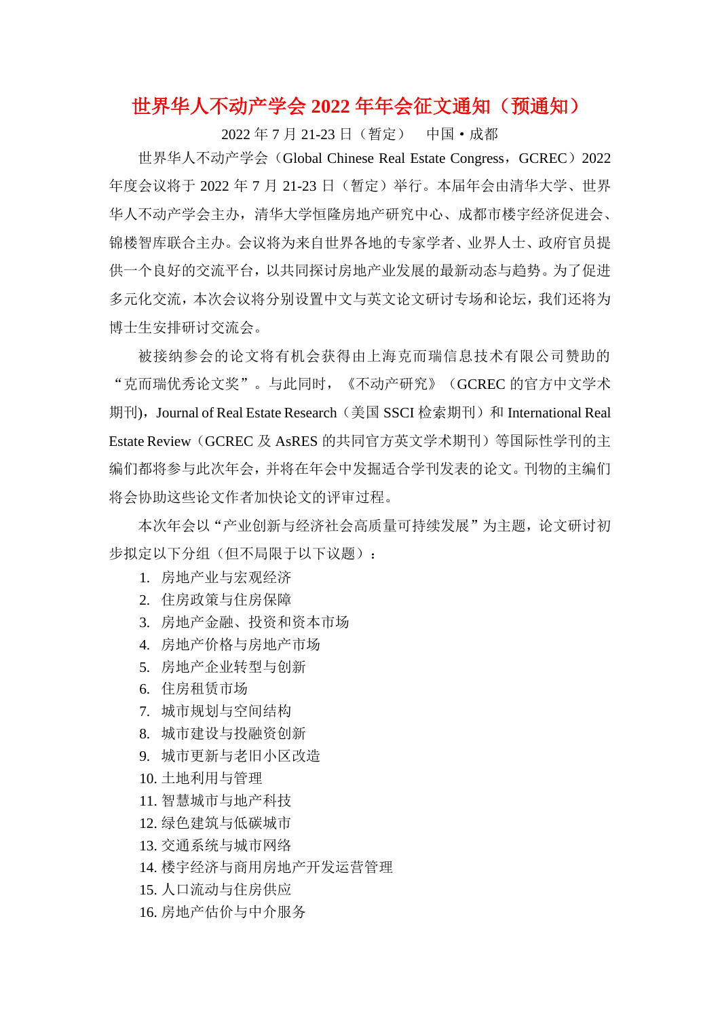# 世界华人不动产学会 **2022** 年年会征文通知(预通知)

2022 年 7 月 21-23 日(暂定) 中国·成都

世界华人不动产学会 (Global Chinese Real Estate Congress, GCREC) 2022 年度会议将于 2022 年 7 月 21-23 日(暂定)举行。本届年会由清华大学、世界 华人不动产学会主办,清华大学恒隆房地产研究中心、成都市楼宇经济促进会、 锦楼智库联合主办。会议将为来自世界各地的专家学者、业界人士、政府官员提 供一个良好的交流平台,以共同探讨房地产业发展的最新动态与趋势。为了促进 多元化交流,本次会议将分别设置中文与英文论文研讨专场和论坛,我们还将为 博士生安排研讨交流会。

被接纳参会的论文将有机会获得由上海克而瑞信息技术有限公司赞助的 "克而瑞优秀论文奖"。与此同时,《不动产研究》(GCREC 的官方中文学术 期刊), Journal of Real Estate Research (美国 SSCI 检索期刊)和 International Real Estate Review (GCREC 及 AsRES 的共同官方英文学术期刊)等国际性学刊的主 编们都将参与此次年会,并将在年会中发掘适合学刊发表的论文。刊物的主编们 将会协助这些论文作者加快论文的评审过程。

本次年会以"产业创新与经济社会高质量可持续发展"为主题,论文研讨初 步拟定以下分组(但不局限于以下议题):

- 1. 房地产业与宏观经济
- 2. 住房政策与住房保障
- 3. 房地产金融、投资和资本市场
- 4. 房地产价格与房地产市场
- 5. 房地产企业转型与创新
- 6. 住房租赁市场
- 7. 城市规划与空间结构
- 8. 城市建设与投融资创新
- 9. 城市更新与老旧小区改造
- 10. 土地利用与管理
- 11. 智慧城市与地产科技
- 12. 绿色建筑与低碳城市
- 13. 交通系统与城市网络
- 14. 楼宇经济与商用房地产开发运营管理
- 15. 人口流动与住房供应
- 16. 房地产估价与中介服务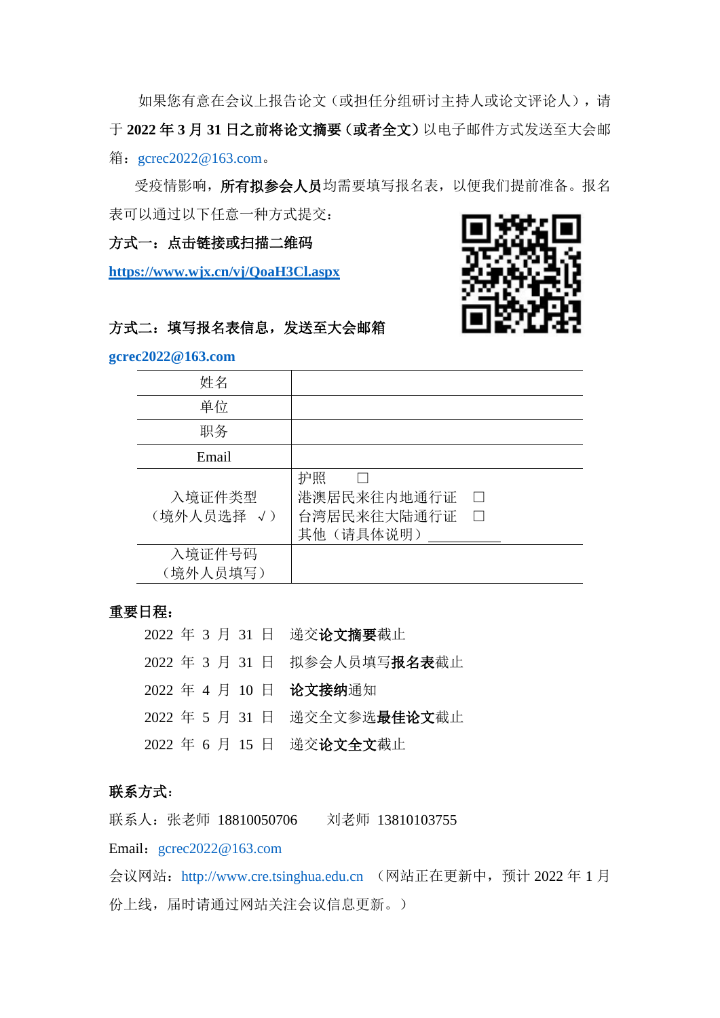如果您有意在会议上报告论文(或担任分组研讨主持人或论文评论人),请 于 **2022** 年 **3** 月 **31** 日之前将论文摘要(或者全文)以电子邮件方式发送至大会邮 箱: [gcrec2022@163.com](mailto:gcrec2022@163.com)。

受疫情影响,所有拟参会人员均需要填写报名表,以便我们提前准备。报名 表可以通过以下任意一种方式提交:

方式一:点击链接或扫描二维码

**<https://www.wjx.cn/vj/QoaH3Cl.aspx>**



## 方式二:填写报名表信息,发送至大会邮箱

#### **[gcrec2022@163.com](mailto:gcrec2022@163.com)**

| 姓名                   |                                                                    |
|----------------------|--------------------------------------------------------------------|
| 单位                   |                                                                    |
| 职务                   |                                                                    |
| Email                |                                                                    |
| 入境证件类型<br>(境外人员选择 √) | 护照<br>港澳居民来往内地通行证<br>$\vert \ \ \vert$<br>台湾居民来往大陆通行证<br>其他(请具体说明) |
| 入境证件号码<br>(境外人员填写)   |                                                                    |

#### 重要日程:

年 3 月 31 日 递交论文摘要截止 年 3 月 31 日 拟参会人员填写报名表截止 年 4 月 10 日 论文接纳通知 年 5 月 31 日 递交全文参选最佳论文截止 年 6 月 15 日 递交论文全文截止

### 联系方式:

联系人: 张老师 18810050706 刘老师 13810103755

Email: [gcrec2022@163.com](mailto:gcrec2022@163.com)

会议网站:[http://www.cre.tsinghua.edu.cn](http://www.cre.tsinghua.edu.cn/) (网站正在更新中,预计 2022 年 1 月 份上线, 届时请通过网站关注会议信息更新。)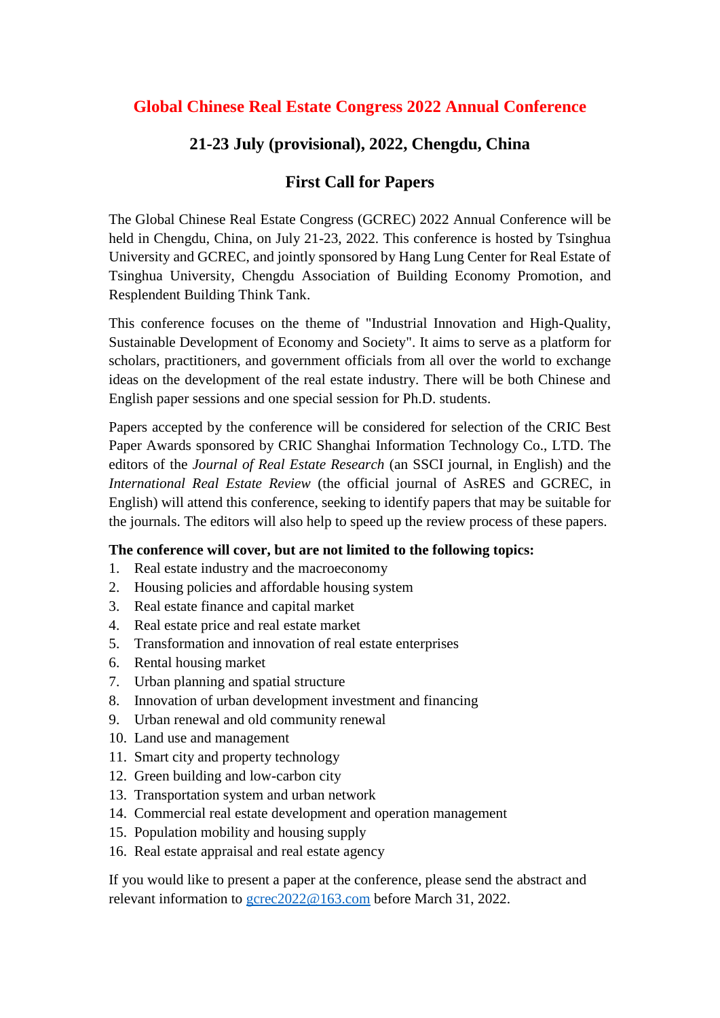# **Global Chinese Real Estate Congress 2022 Annual Conference**

## **21-23 July (provisional), 2022, Chengdu, China**

## **First Call for Papers**

The Global Chinese Real Estate Congress (GCREC) 2022 Annual Conference will be held in Chengdu, China, on July 21-23, 2022. This conference is hosted by Tsinghua University and GCREC, and jointly sponsored by Hang Lung Center for Real Estate of Tsinghua University, Chengdu Association of Building Economy Promotion, and Resplendent Building Think Tank.

This conference focuses on the theme of "Industrial Innovation and High-Quality, Sustainable Development of Economy and Society". It aims to serve as a platform for scholars, practitioners, and government officials from all over the world to exchange ideas on the development of the real estate industry. There will be both Chinese and English paper sessions and one special session for Ph.D. students.

Papers accepted by the conference will be considered for selection of the CRIC Best Paper Awards sponsored by CRIC Shanghai Information Technology Co., LTD. The editors of the *Journal of Real Estate Research* (an SSCI journal, in English) and the *International Real Estate Review* (the official journal of AsRES and GCREC, in English) will attend this conference, seeking to identify papers that may be suitable for the journals. The editors will also help to speed up the review process of these papers.

## **The conference will cover, but are not limited to the following topics:**

- 1. Real estate industry and the macroeconomy
- 2. Housing policies and affordable housing system
- 3. Real estate finance and capital market
- 4. Real estate price and real estate market
- 5. Transformation and innovation of real estate enterprises
- 6. Rental housing market
- 7. Urban planning and spatial structure
- 8. Innovation of urban development investment and financing
- 9. Urban renewal and old community renewal
- 10. Land use and management
- 11. Smart city and property technology
- 12. Green building and low-carbon city
- 13. Transportation system and urban network
- 14. Commercial real estate development and operation management
- 15. Population mobility and housing supply
- 16. Real estate appraisal and real estate agency

If you would like to present a paper at the conference, please send the abstract and relevant information to [gcrec2022@163.com](mailto:gcrec2022@163.com) before March 31, 2022.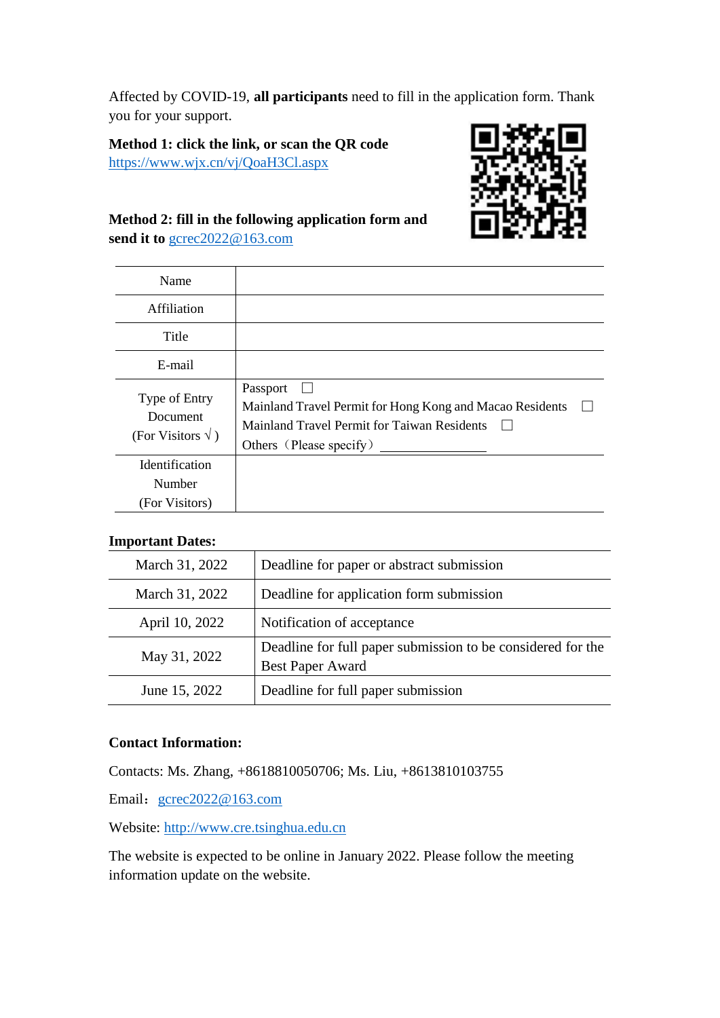Affected by COVID-19, **all participants** need to fill in the application form. Thank you for your support.

**Method 1: click the link, or scan the QR code** <https://www.wjx.cn/vj/QoaH3Cl.aspx>



## **Method 2: fill in the following application form and send it to** [gcrec2022@163.com](mailto:gcrec2022@163.com)

| Name                                                   |                                                                                                                                                |
|--------------------------------------------------------|------------------------------------------------------------------------------------------------------------------------------------------------|
| Affiliation                                            |                                                                                                                                                |
| Title                                                  |                                                                                                                                                |
| E-mail                                                 |                                                                                                                                                |
| Type of Entry<br>Document<br>(For Visitors $\sqrt{}$ ) | Passport<br>Mainland Travel Permit for Hong Kong and Macao Residents<br>Mainland Travel Permit for Taiwan Residents<br>Others (Please specify) |
| Identification<br>Number<br>(For Visitors)             |                                                                                                                                                |

## **Important Dates:**

| March 31, 2022 | Deadline for paper or abstract submission                                       |
|----------------|---------------------------------------------------------------------------------|
| March 31, 2022 | Deadline for application form submission                                        |
| April 10, 2022 | Notification of acceptance                                                      |
| May 31, 2022   | Deadline for full paper submission to be considered for the<br>Best Paper Award |
| June 15, 2022  | Deadline for full paper submission                                              |

#### **Contact Information:**

Contacts: Ms. Zhang, +8618810050706; Ms. Liu, +8613810103755

Email: [gcrec2022@163.com](mailto:gcrec2022@163.com)

Website: [http://www.cre.tsinghua.edu.cn](http://www.cre.tsinghua.edu.cn/)

The website is expected to be online in January 2022. Please follow the meeting information update on the website.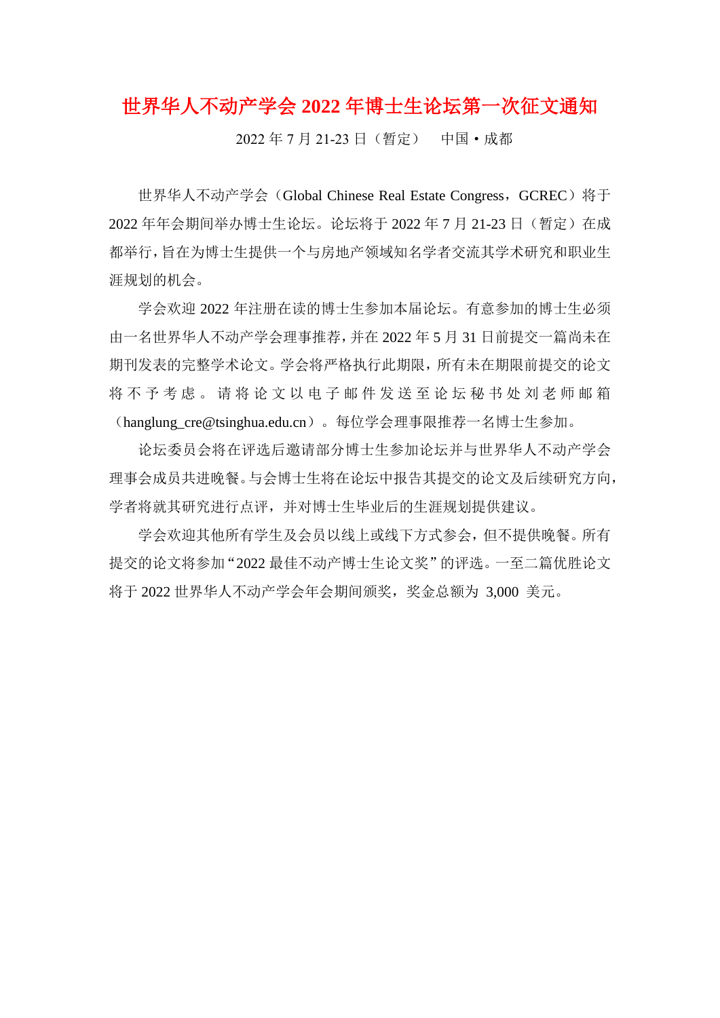世界华人不动产学会 **2022** 年博士生论坛第一次征文通知

2022 年 7 月 21-23 日(暂定) 中国·成都

世界华人不动产学会 (Global Chinese Real Estate Congress, GCREC)将于 2022 年年会期间举办博士生论坛。论坛将于 2022 年 7 月 21-23 日(暂定)在成 都举行,旨在为博士生提供一个与房地产领域知名学者交流其学术研究和职业生 涯规划的机会。

学会欢迎 2022 年注册在读的博士生参加本届论坛。有意参加的博士生必须 由一名世界华人不动产学会理事推荐,并在 2022 年 5 月 31 日前提交一篇尚未在 期刊发表的完整学术论文。学会将严格执行此期限,所有未在期限前提交的论文 将 不 予 考 虑 。 请 将 论 文 以 电 子 邮 件 发 送 至 论 坛 秘 书 处 刘 老 师 邮 箱 (hanglung\_cre@tsinghua.edu.cn)。每位学会理事限推荐一名博士生参加。

论坛委员会将在评选后邀请部分博士生参加论坛并与世界华人不动产学会 理事会成员共进晚餐。与会博士生将在论坛中报告其提交的论文及后续研究方向, 学者将就其研究进行点评,并对博士生毕业后的生涯规划提供建议。

学会欢迎其他所有学生及会员以线上或线下方式参会,但不提供晚餐。所有 提交的论文将参加"2022 最佳不动产博士生论文奖"的评选。一至二篇优胜论文 将于 2022 世界华人不动产学会年会期间颁奖,奖金总额为 3,000 美元。